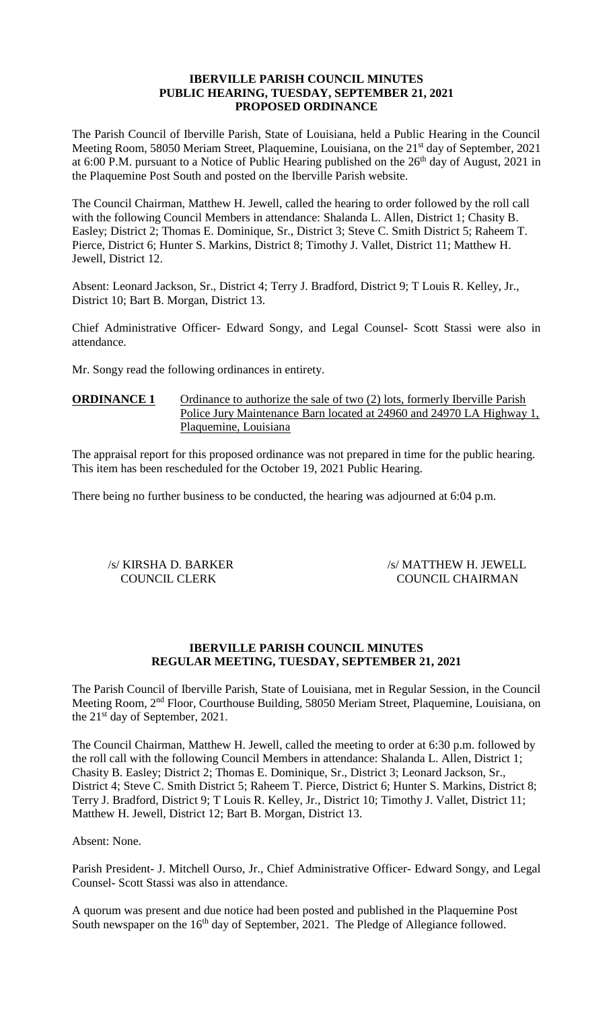## **IBERVILLE PARISH COUNCIL MINUTES PUBLIC HEARING, TUESDAY, SEPTEMBER 21, 2021 PROPOSED ORDINANCE**

The Parish Council of Iberville Parish, State of Louisiana, held a Public Hearing in the Council Meeting Room, 58050 Meriam Street, Plaquemine, Louisiana, on the 21<sup>st</sup> day of September, 2021 at 6:00 P.M. pursuant to a Notice of Public Hearing published on the  $26<sup>th</sup>$  day of August, 2021 in the Plaquemine Post South and posted on the Iberville Parish website.

The Council Chairman, Matthew H. Jewell, called the hearing to order followed by the roll call with the following Council Members in attendance: Shalanda L. Allen, District 1; Chasity B. Easley; District 2; Thomas E. Dominique, Sr., District 3; Steve C. Smith District 5; Raheem T. Pierce, District 6; Hunter S. Markins, District 8; Timothy J. Vallet, District 11; Matthew H. Jewell, District 12.

Absent: Leonard Jackson, Sr., District 4; Terry J. Bradford, District 9; T Louis R. Kelley, Jr., District 10; Bart B. Morgan, District 13.

Chief Administrative Officer- Edward Songy, and Legal Counsel- Scott Stassi were also in attendance.

Mr. Songy read the following ordinances in entirety.

# **ORDINANCE 1** Ordinance to authorize the sale of two (2) lots, formerly Iberville Parish Police Jury Maintenance Barn located at 24960 and 24970 LA Highway 1, Plaquemine, Louisiana

The appraisal report for this proposed ordinance was not prepared in time for the public hearing. This item has been rescheduled for the October 19, 2021 Public Hearing.

There being no further business to be conducted, the hearing was adjourned at 6:04 p.m.

/s/ KIRSHA D. BARKER /s/ MATTHEW H. JEWELL COUNCIL CLERK COUNCIL CHAIRMAN

# **IBERVILLE PARISH COUNCIL MINUTES REGULAR MEETING, TUESDAY, SEPTEMBER 21, 2021**

The Parish Council of Iberville Parish, State of Louisiana, met in Regular Session, in the Council Meeting Room, 2nd Floor, Courthouse Building, 58050 Meriam Street, Plaquemine, Louisiana, on the 21<sup>st</sup> day of September, 2021.

The Council Chairman, Matthew H. Jewell, called the meeting to order at 6:30 p.m. followed by the roll call with the following Council Members in attendance: Shalanda L. Allen, District 1; Chasity B. Easley; District 2; Thomas E. Dominique, Sr., District 3; Leonard Jackson, Sr., District 4; Steve C. Smith District 5; Raheem T. Pierce, District 6; Hunter S. Markins, District 8; Terry J. Bradford, District 9; T Louis R. Kelley, Jr., District 10; Timothy J. Vallet, District 11; Matthew H. Jewell, District 12; Bart B. Morgan, District 13.

# Absent: None.

Parish President- J. Mitchell Ourso, Jr., Chief Administrative Officer- Edward Songy, and Legal Counsel- Scott Stassi was also in attendance.

A quorum was present and due notice had been posted and published in the Plaquemine Post South newspaper on the 16<sup>th</sup> day of September, 2021. The Pledge of Allegiance followed.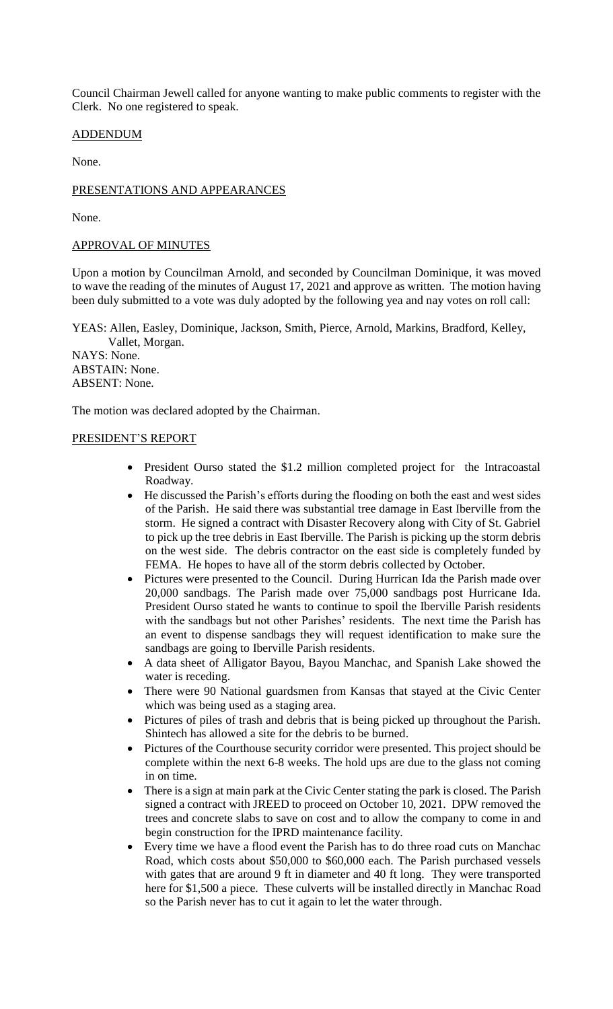Council Chairman Jewell called for anyone wanting to make public comments to register with the Clerk. No one registered to speak.

# ADDENDUM

None.

# PRESENTATIONS AND APPEARANCES

None.

# APPROVAL OF MINUTES

Upon a motion by Councilman Arnold, and seconded by Councilman Dominique, it was moved to wave the reading of the minutes of August 17, 2021 and approve as written. The motion having been duly submitted to a vote was duly adopted by the following yea and nay votes on roll call:

YEAS: Allen, Easley, Dominique, Jackson, Smith, Pierce, Arnold, Markins, Bradford, Kelley, Vallet, Morgan.

NAYS: None. ABSTAIN: None. ABSENT: None.

The motion was declared adopted by the Chairman.

# PRESIDENT'S REPORT

- President Ourso stated the \$1.2 million completed project for the Intracoastal Roadway.
- He discussed the Parish's efforts during the flooding on both the east and west sides of the Parish. He said there was substantial tree damage in East Iberville from the storm. He signed a contract with Disaster Recovery along with City of St. Gabriel to pick up the tree debris in East Iberville. The Parish is picking up the storm debris on the west side. The debris contractor on the east side is completely funded by FEMA. He hopes to have all of the storm debris collected by October.
- Pictures were presented to the Council. During Hurrican Ida the Parish made over 20,000 sandbags. The Parish made over 75,000 sandbags post Hurricane Ida. President Ourso stated he wants to continue to spoil the Iberville Parish residents with the sandbags but not other Parishes' residents. The next time the Parish has an event to dispense sandbags they will request identification to make sure the sandbags are going to Iberville Parish residents.
- A data sheet of Alligator Bayou, Bayou Manchac, and Spanish Lake showed the water is receding.
- There were 90 National guardsmen from Kansas that stayed at the Civic Center which was being used as a staging area.
- Pictures of piles of trash and debris that is being picked up throughout the Parish. Shintech has allowed a site for the debris to be burned.
- Pictures of the Courthouse security corridor were presented. This project should be complete within the next 6-8 weeks. The hold ups are due to the glass not coming in on time.
- There is a sign at main park at the Civic Center stating the park is closed. The Parish signed a contract with JREED to proceed on October 10, 2021. DPW removed the trees and concrete slabs to save on cost and to allow the company to come in and begin construction for the IPRD maintenance facility.
- Every time we have a flood event the Parish has to do three road cuts on Manchac Road, which costs about \$50,000 to \$60,000 each. The Parish purchased vessels with gates that are around 9 ft in diameter and 40 ft long. They were transported here for \$1,500 a piece. These culverts will be installed directly in Manchac Road so the Parish never has to cut it again to let the water through.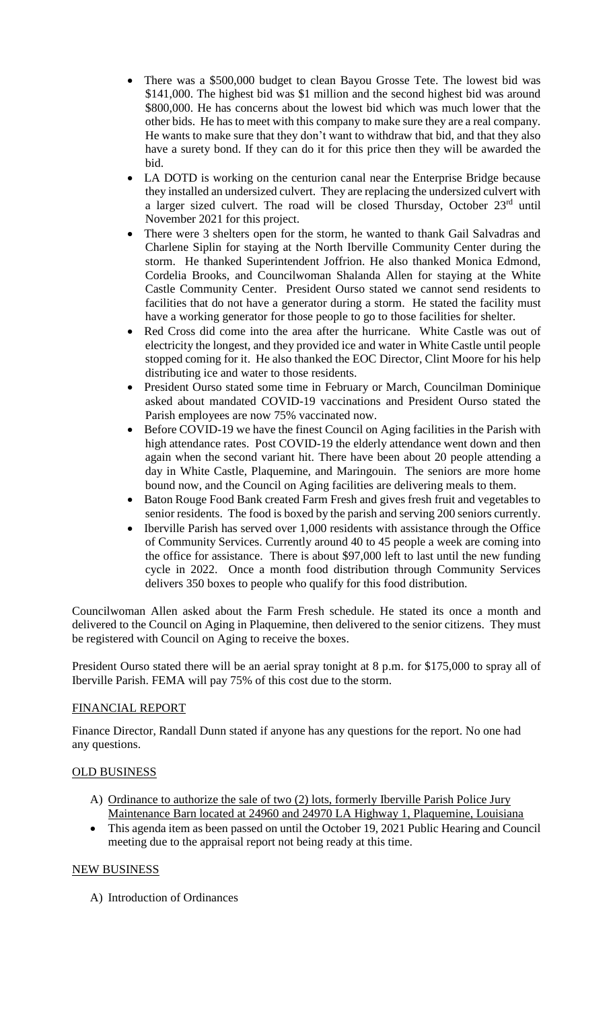- There was a \$500,000 budget to clean Bayou Grosse Tete. The lowest bid was \$141,000. The highest bid was \$1 million and the second highest bid was around \$800,000. He has concerns about the lowest bid which was much lower that the other bids. He has to meet with this company to make sure they are a real company. He wants to make sure that they don't want to withdraw that bid, and that they also have a surety bond. If they can do it for this price then they will be awarded the bid.
- LA DOTD is working on the centurion canal near the Enterprise Bridge because they installed an undersized culvert. They are replacing the undersized culvert with a larger sized culvert. The road will be closed Thursday, October 23<sup>rd</sup> until November 2021 for this project.
- There were 3 shelters open for the storm, he wanted to thank Gail Salvadras and Charlene Siplin for staying at the North Iberville Community Center during the storm. He thanked Superintendent Joffrion. He also thanked Monica Edmond, Cordelia Brooks, and Councilwoman Shalanda Allen for staying at the White Castle Community Center. President Ourso stated we cannot send residents to facilities that do not have a generator during a storm. He stated the facility must have a working generator for those people to go to those facilities for shelter.
- Red Cross did come into the area after the hurricane. White Castle was out of electricity the longest, and they provided ice and water in White Castle until people stopped coming for it. He also thanked the EOC Director, Clint Moore for his help distributing ice and water to those residents.
- President Ourso stated some time in February or March, Councilman Dominique asked about mandated COVID-19 vaccinations and President Ourso stated the Parish employees are now 75% vaccinated now.
- Before COVID-19 we have the finest Council on Aging facilities in the Parish with high attendance rates. Post COVID-19 the elderly attendance went down and then again when the second variant hit. There have been about 20 people attending a day in White Castle, Plaquemine, and Maringouin. The seniors are more home bound now, and the Council on Aging facilities are delivering meals to them.
- Baton Rouge Food Bank created Farm Fresh and gives fresh fruit and vegetables to senior residents. The food is boxed by the parish and serving 200 seniors currently.
- Iberville Parish has served over 1,000 residents with assistance through the Office of Community Services. Currently around 40 to 45 people a week are coming into the office for assistance. There is about \$97,000 left to last until the new funding cycle in 2022. Once a month food distribution through Community Services delivers 350 boxes to people who qualify for this food distribution.

Councilwoman Allen asked about the Farm Fresh schedule. He stated its once a month and delivered to the Council on Aging in Plaquemine, then delivered to the senior citizens. They must be registered with Council on Aging to receive the boxes.

President Ourso stated there will be an aerial spray tonight at 8 p.m. for \$175,000 to spray all of Iberville Parish. FEMA will pay 75% of this cost due to the storm.

# FINANCIAL REPORT

Finance Director, Randall Dunn stated if anyone has any questions for the report. No one had any questions.

# OLD BUSINESS

- A) Ordinance to authorize the sale of two (2) lots, formerly Iberville Parish Police Jury Maintenance Barn located at 24960 and 24970 LA Highway 1, Plaquemine, Louisiana
- This agenda item as been passed on until the October 19, 2021 Public Hearing and Council meeting due to the appraisal report not being ready at this time.

# NEW BUSINESS

A) Introduction of Ordinances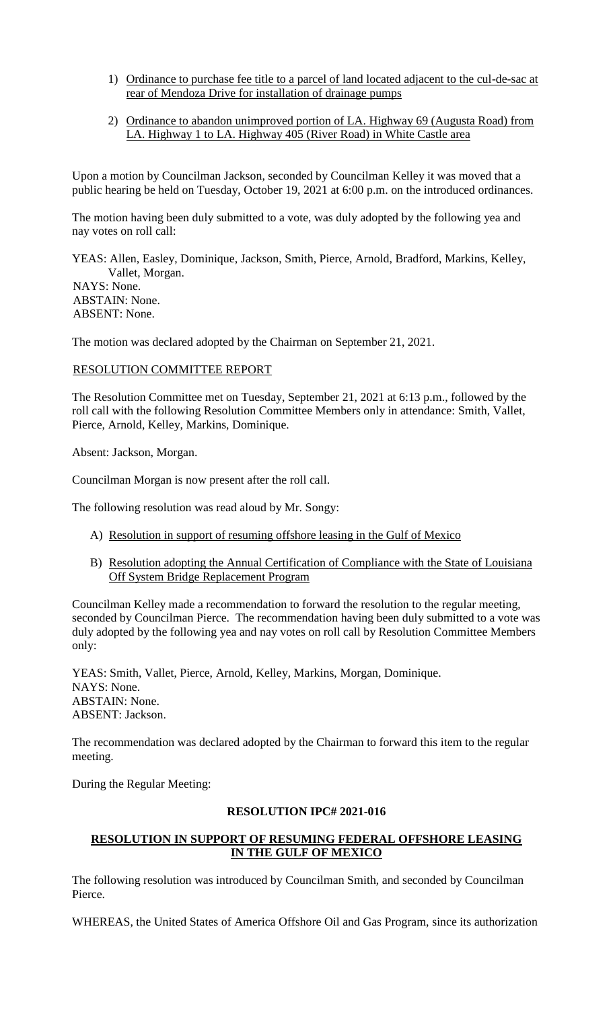- 1) Ordinance to purchase fee title to a parcel of land located adjacent to the cul-de-sac at rear of Mendoza Drive for installation of drainage pumps
- 2) Ordinance to abandon unimproved portion of LA. Highway 69 (Augusta Road) from LA. Highway 1 to LA. Highway 405 (River Road) in White Castle area

Upon a motion by Councilman Jackson, seconded by Councilman Kelley it was moved that a public hearing be held on Tuesday, October 19, 2021 at 6:00 p.m. on the introduced ordinances.

The motion having been duly submitted to a vote, was duly adopted by the following yea and nay votes on roll call:

YEAS: Allen, Easley, Dominique, Jackson, Smith, Pierce, Arnold, Bradford, Markins, Kelley, Vallet, Morgan. NAYS: None. ABSTAIN: None. ABSENT: None.

The motion was declared adopted by the Chairman on September 21, 2021.

## RESOLUTION COMMITTEE REPORT

The Resolution Committee met on Tuesday, September 21, 2021 at 6:13 p.m., followed by the roll call with the following Resolution Committee Members only in attendance: Smith, Vallet, Pierce, Arnold, Kelley, Markins, Dominique.

Absent: Jackson, Morgan.

Councilman Morgan is now present after the roll call.

The following resolution was read aloud by Mr. Songy:

- A) Resolution in support of resuming offshore leasing in the Gulf of Mexico
- B) Resolution adopting the Annual Certification of Compliance with the State of Louisiana Off System Bridge Replacement Program

Councilman Kelley made a recommendation to forward the resolution to the regular meeting, seconded by Councilman Pierce. The recommendation having been duly submitted to a vote was duly adopted by the following yea and nay votes on roll call by Resolution Committee Members only:

YEAS: Smith, Vallet, Pierce, Arnold, Kelley, Markins, Morgan, Dominique. NAYS: None. ABSTAIN: None. ABSENT: Jackson.

The recommendation was declared adopted by the Chairman to forward this item to the regular meeting.

During the Regular Meeting:

#### **RESOLUTION IPC# 2021-016**

# **RESOLUTION IN SUPPORT OF RESUMING FEDERAL OFFSHORE LEASING IN THE GULF OF MEXICO**

The following resolution was introduced by Councilman Smith, and seconded by Councilman Pierce.

WHEREAS, the United States of America Offshore Oil and Gas Program, since its authorization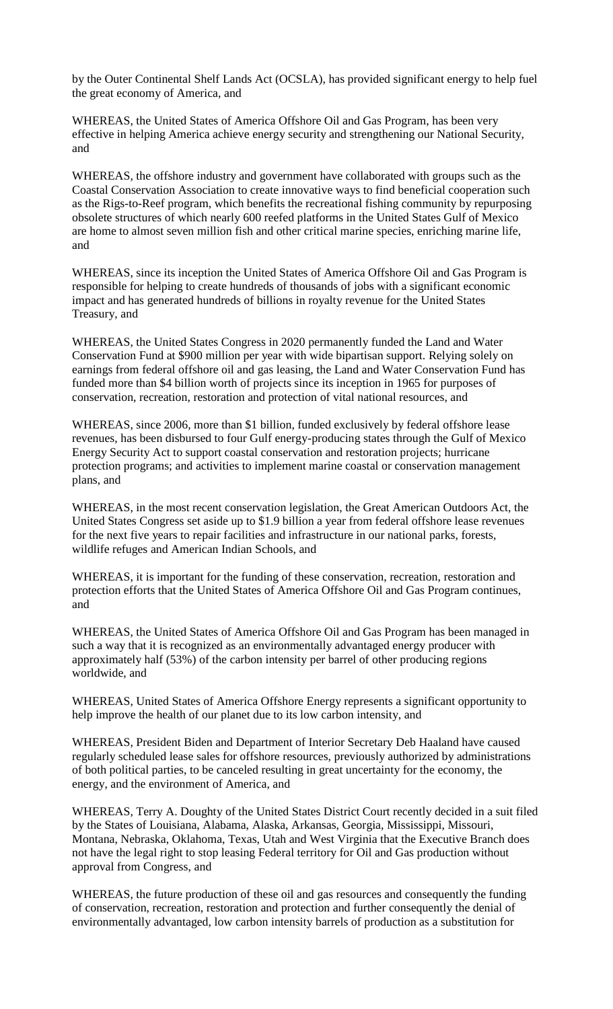by the Outer Continental Shelf Lands Act (OCSLA), has provided significant energy to help fuel the great economy of America, and

WHEREAS, the United States of America Offshore Oil and Gas Program, has been very effective in helping America achieve energy security and strengthening our National Security, and

WHEREAS, the offshore industry and government have collaborated with groups such as the Coastal Conservation Association to create innovative ways to find beneficial cooperation such as the Rigs-to-Reef program, which benefits the recreational fishing community by repurposing obsolete structures of which nearly 600 reefed platforms in the United States Gulf of Mexico are home to almost seven million fish and other critical marine species, enriching marine life, and

WHEREAS, since its inception the United States of America Offshore Oil and Gas Program is responsible for helping to create hundreds of thousands of jobs with a significant economic impact and has generated hundreds of billions in royalty revenue for the United States Treasury, and

WHEREAS, the United States Congress in 2020 permanently funded the Land and Water Conservation Fund at \$900 million per year with wide bipartisan support. Relying solely on earnings from federal offshore oil and gas leasing, the Land and Water Conservation Fund has funded more than \$4 billion worth of projects since its inception in 1965 for purposes of conservation, recreation, restoration and protection of vital national resources, and

WHEREAS, since 2006, more than \$1 billion, funded exclusively by federal offshore lease revenues, has been disbursed to four Gulf energy-producing states through the Gulf of Mexico Energy Security Act to support coastal conservation and restoration projects; hurricane protection programs; and activities to implement marine coastal or conservation management plans, and

WHEREAS, in the most recent conservation legislation, the Great American Outdoors Act, the United States Congress set aside up to \$1.9 billion a year from federal offshore lease revenues for the next five years to repair facilities and infrastructure in our national parks, forests, wildlife refuges and American Indian Schools, and

WHEREAS, it is important for the funding of these conservation, recreation, restoration and protection efforts that the United States of America Offshore Oil and Gas Program continues, and

WHEREAS, the United States of America Offshore Oil and Gas Program has been managed in such a way that it is recognized as an environmentally advantaged energy producer with approximately half (53%) of the carbon intensity per barrel of other producing regions worldwide, and

WHEREAS, United States of America Offshore Energy represents a significant opportunity to help improve the health of our planet due to its low carbon intensity, and

WHEREAS, President Biden and Department of Interior Secretary Deb Haaland have caused regularly scheduled lease sales for offshore resources, previously authorized by administrations of both political parties, to be canceled resulting in great uncertainty for the economy, the energy, and the environment of America, and

WHEREAS, Terry A. Doughty of the United States District Court recently decided in a suit filed by the States of Louisiana, Alabama, Alaska, Arkansas, Georgia, Mississippi, Missouri, Montana, Nebraska, Oklahoma, Texas, Utah and West Virginia that the Executive Branch does not have the legal right to stop leasing Federal territory for Oil and Gas production without approval from Congress, and

WHEREAS, the future production of these oil and gas resources and consequently the funding of conservation, recreation, restoration and protection and further consequently the denial of environmentally advantaged, low carbon intensity barrels of production as a substitution for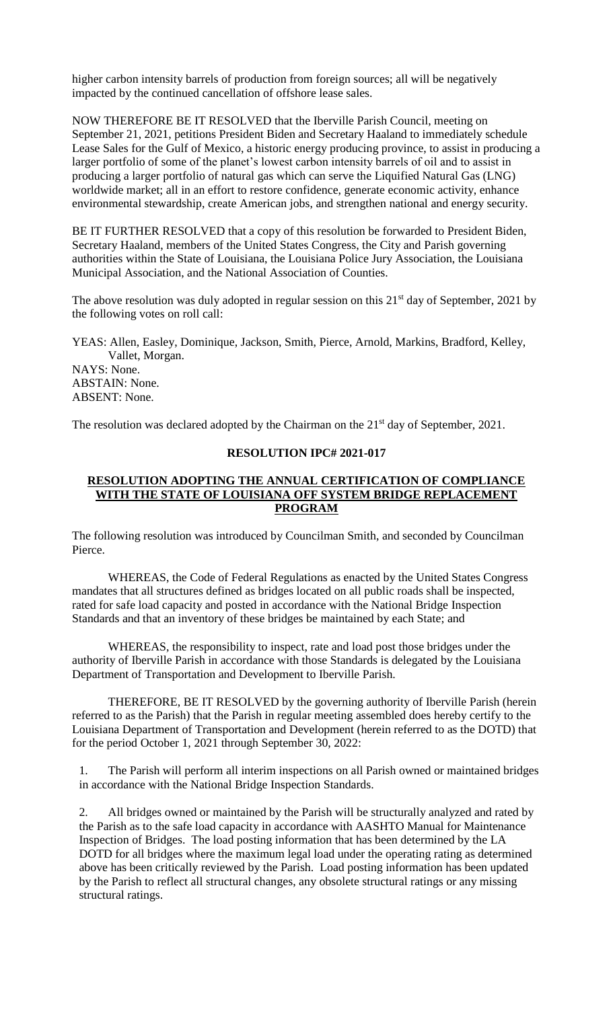higher carbon intensity barrels of production from foreign sources; all will be negatively impacted by the continued cancellation of offshore lease sales.

NOW THEREFORE BE IT RESOLVED that the Iberville Parish Council, meeting on September 21, 2021, petitions President Biden and Secretary Haaland to immediately schedule Lease Sales for the Gulf of Mexico, a historic energy producing province, to assist in producing a larger portfolio of some of the planet's lowest carbon intensity barrels of oil and to assist in producing a larger portfolio of natural gas which can serve the Liquified Natural Gas (LNG) worldwide market; all in an effort to restore confidence, generate economic activity, enhance environmental stewardship, create American jobs, and strengthen national and energy security.

BE IT FURTHER RESOLVED that a copy of this resolution be forwarded to President Biden, Secretary Haaland, members of the United States Congress, the City and Parish governing authorities within the State of Louisiana, the Louisiana Police Jury Association, the Louisiana Municipal Association, and the National Association of Counties.

The above resolution was duly adopted in regular session on this  $21<sup>st</sup>$  day of September, 2021 by the following votes on roll call:

YEAS: Allen, Easley, Dominique, Jackson, Smith, Pierce, Arnold, Markins, Bradford, Kelley, Vallet, Morgan. NAYS: None.

ABSTAIN: None. ABSENT: None.

The resolution was declared adopted by the Chairman on the 21<sup>st</sup> day of September, 2021.

## **RESOLUTION IPC# 2021-017**

### **RESOLUTION ADOPTING THE ANNUAL CERTIFICATION OF COMPLIANCE WITH THE STATE OF LOUISIANA OFF SYSTEM BRIDGE REPLACEMENT PROGRAM**

The following resolution was introduced by Councilman Smith, and seconded by Councilman Pierce.

WHEREAS, the Code of Federal Regulations as enacted by the United States Congress mandates that all structures defined as bridges located on all public roads shall be inspected, rated for safe load capacity and posted in accordance with the National Bridge Inspection Standards and that an inventory of these bridges be maintained by each State; and

WHEREAS, the responsibility to inspect, rate and load post those bridges under the authority of Iberville Parish in accordance with those Standards is delegated by the Louisiana Department of Transportation and Development to Iberville Parish.

THEREFORE, BE IT RESOLVED by the governing authority of Iberville Parish (herein referred to as the Parish) that the Parish in regular meeting assembled does hereby certify to the Louisiana Department of Transportation and Development (herein referred to as the DOTD) that for the period October 1, 2021 through September 30, 2022:

1. The Parish will perform all interim inspections on all Parish owned or maintained bridges in accordance with the National Bridge Inspection Standards.

2. All bridges owned or maintained by the Parish will be structurally analyzed and rated by the Parish as to the safe load capacity in accordance with AASHTO Manual for Maintenance Inspection of Bridges. The load posting information that has been determined by the LA DOTD for all bridges where the maximum legal load under the operating rating as determined above has been critically reviewed by the Parish. Load posting information has been updated by the Parish to reflect all structural changes, any obsolete structural ratings or any missing structural ratings.